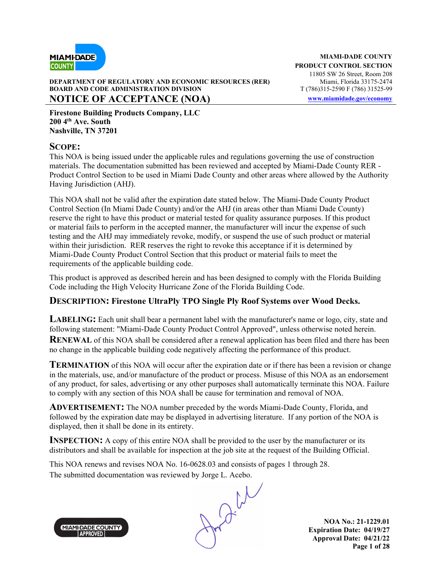

#### **DEPARTMENT OF REGULATORY AND ECONOMIC RESOURCES (RER)** Miami, Florida 33175-2474 **BOARD AND CODE ADMINISTRATION DIVISION** T (786)315-2590 F (786) 31525-99 **NOTICE OF ACCEPTANCE (NOA)** www.miamidade.gov/economy

**Firestone Building Products Company, LLC 200 4th Ave. South Nashville, TN 37201**

### **SCOPE:**

This NOA is being issued under the applicable rules and regulations governing the use of construction materials. The documentation submitted has been reviewed and accepted by Miami-Dade County RER - Product Control Section to be used in Miami Dade County and other areas where allowed by the Authority Having Jurisdiction (AHJ).

This NOA shall not be valid after the expiration date stated below. The Miami-Dade County Product Control Section (In Miami Dade County) and/or the AHJ (in areas other than Miami Dade County) reserve the right to have this product or material tested for quality assurance purposes. If this product or material fails to perform in the accepted manner, the manufacturer will incur the expense of such testing and the AHJ may immediately revoke, modify, or suspend the use of such product or material within their jurisdiction. RER reserves the right to revoke this acceptance if it is determined by Miami-Dade County Product Control Section that this product or material fails to meet the requirements of the applicable building code.

This product is approved as described herein and has been designed to comply with the Florida Building Code including the High Velocity Hurricane Zone of the Florida Building Code.

### **DESCRIPTION: Firestone UltraPly TPO Single Ply Roof Systems over Wood Decks.**

**LABELING:** Each unit shall bear a permanent label with the manufacturer's name or logo, city, state and following statement: "Miami-Dade County Product Control Approved", unless otherwise noted herein. **RENEWAL** of this NOA shall be considered after a renewal application has been filed and there has been no change in the applicable building code negatively affecting the performance of this product.

**TERMINATION** of this NOA will occur after the expiration date or if there has been a revision or change in the materials, use, and/or manufacture of the product or process. Misuse of this NOA as an endorsement of any product, for sales, advertising or any other purposes shall automatically terminate this NOA. Failure to comply with any section of this NOA shall be cause for termination and removal of NOA.

**ADVERTISEMENT:** The NOA number preceded by the words Miami-Dade County, Florida, and followed by the expiration date may be displayed in advertising literature. If any portion of the NOA is displayed, then it shall be done in its entirety.

**INSPECTION:** A copy of this entire NOA shall be provided to the user by the manufacturer or its distributors and shall be available for inspection at the job site at the request of the Building Official.

This NOA renews and revises NOA No. 16-0628.03 and consists of pages 1 through 28.



The submitted documentation was reviewed by Jorge L. Acebo.<br>
MANI-DADE COUNTY

**NOA No.: 21-1229.01 Expiration Date: 04/19/27 Approval Date: 04/21/22 Page 1 of 28**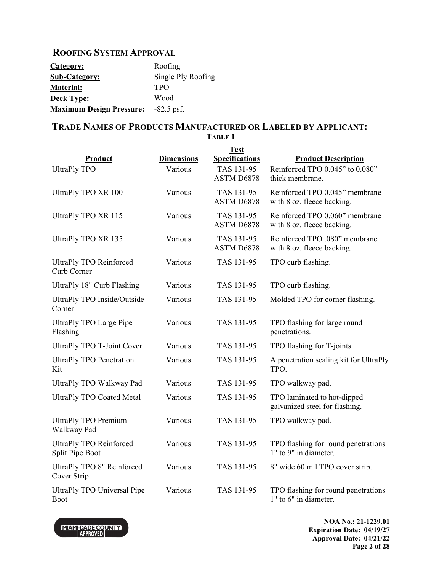### **ROOFING SYSTEM APPROVAL**

| <b>Category:</b>                | Roofing            |
|---------------------------------|--------------------|
| <b>Sub-Category:</b>            | Single Ply Roofing |
| Material:                       | <b>TPO</b>         |
| <b>Deck Type:</b>               | Wood               |
| <b>Maximum Design Pressure:</b> | $-82.5$ psf.       |

# **TRADE NAMES OF PRODUCTS MANUFACTURED OR LABELED BY APPLICANT:**

|                                                   |                   | <b>Test</b>              |                                                               |
|---------------------------------------------------|-------------------|--------------------------|---------------------------------------------------------------|
| Product                                           | <b>Dimensions</b> | <b>Specifications</b>    | <b>Product Description</b>                                    |
| <b>UltraPly TPO</b>                               | Various           | TAS 131-95<br>ASTM D6878 | Reinforced TPO 0.045" to 0.080"<br>thick membrane.            |
| <b>UltraPly TPO XR 100</b>                        | Various           | TAS 131-95<br>ASTM D6878 | Reinforced TPO 0.045" membrane<br>with 8 oz. fleece backing.  |
| <b>UltraPly TPO XR 115</b>                        | Various           | TAS 131-95<br>ASTM D6878 | Reinforced TPO 0.060" membrane<br>with 8 oz. fleece backing.  |
| <b>UltraPly TPO XR 135</b>                        | Various           | TAS 131-95<br>ASTM D6878 | Reinforced TPO .080" membrane<br>with 8 oz. fleece backing.   |
| <b>UltraPly TPO Reinforced</b><br>Curb Corner     | Various           | TAS 131-95               | TPO curb flashing.                                            |
| UltraPly 18" Curb Flashing                        | Various           | TAS 131-95               | TPO curb flashing.                                            |
| <b>UltraPly TPO Inside/Outside</b><br>Corner      | Various           | TAS 131-95               | Molded TPO for corner flashing.                               |
| <b>UltraPly TPO Large Pipe</b><br>Flashing        | Various           | TAS 131-95               | TPO flashing for large round<br>penetrations.                 |
| <b>UltraPly TPO T-Joint Cover</b>                 | Various           | TAS 131-95               | TPO flashing for T-joints.                                    |
| <b>UltraPly TPO Penetration</b><br>Kit            | Various           | TAS 131-95               | A penetration sealing kit for UltraPly<br>TPO.                |
| UltraPly TPO Walkway Pad                          | Various           | TAS 131-95               | TPO walkway pad.                                              |
| <b>UltraPly TPO Coated Metal</b>                  | Various           | TAS 131-95               | TPO laminated to hot-dipped<br>galvanized steel for flashing. |
| <b>UltraPly TPO Premium</b><br>Walkway Pad        | Various           | TAS 131-95               | TPO walkway pad.                                              |
| <b>UltraPly TPO Reinforced</b><br>Split Pipe Boot | Various           | TAS 131-95               | TPO flashing for round penetrations<br>1" to 9" in diameter.  |
| <b>UltraPly TPO 8" Reinforced</b><br>Cover Strip  | Various           | TAS 131-95               | 8" wide 60 mil TPO cover strip.                               |
| UltraPly TPO Universal Pipe<br><b>Boot</b>        | Various           | TAS 131-95               | TPO flashing for round penetrations<br>1" to 6" in diameter.  |

**TABLE 1**



**NOA No.: 21-1229.01 Expiration Date: 04/19/27 Approval Date: 04/21/22 Page 2 of 28**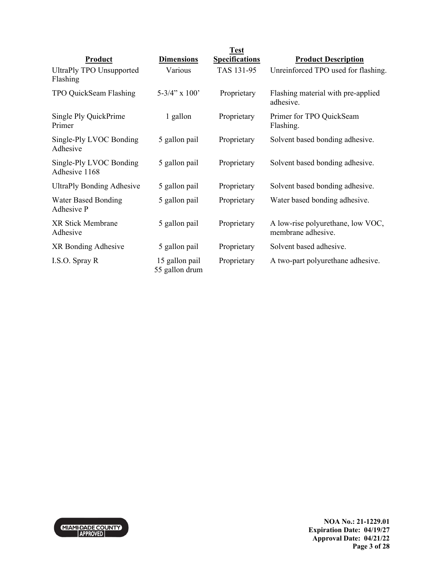|                                             |                                  | <b>Test</b>           |                                                         |
|---------------------------------------------|----------------------------------|-----------------------|---------------------------------------------------------|
| Product                                     | <b>Dimensions</b>                | <b>Specifications</b> | <b>Product Description</b>                              |
| <b>UltraPly TPO Unsupported</b><br>Flashing | Various                          | TAS 131-95            | Unreinforced TPO used for flashing.                     |
| TPO QuickSeam Flashing                      | 5-3/4" x $100'$                  | Proprietary           | Flashing material with pre-applied<br>adhesive.         |
| Single Ply QuickPrime<br>Primer             | 1 gallon                         | Proprietary           | Primer for TPO QuickSeam<br>Flashing.                   |
| Single-Ply LVOC Bonding<br>Adhesive         | 5 gallon pail                    | Proprietary           | Solvent based bonding adhesive.                         |
| Single-Ply LVOC Bonding<br>Adhesive 1168    | 5 gallon pail                    | Proprietary           | Solvent based bonding adhesive.                         |
| <b>UltraPly Bonding Adhesive</b>            | 5 gallon pail                    | Proprietary           | Solvent based bonding adhesive.                         |
| <b>Water Based Bonding</b><br>Adhesive P    | 5 gallon pail                    | Proprietary           | Water based bonding adhesive.                           |
| <b>XR Stick Membrane</b><br>Adhesive        | 5 gallon pail                    | Proprietary           | A low-rise polyurethane, low VOC,<br>membrane adhesive. |
| XR Bonding Adhesive                         | 5 gallon pail                    | Proprietary           | Solvent based adhesive.                                 |
| I.S.O. Spray R                              | 15 gallon pail<br>55 gallon drum | Proprietary           | A two-part polyurethane adhesive.                       |

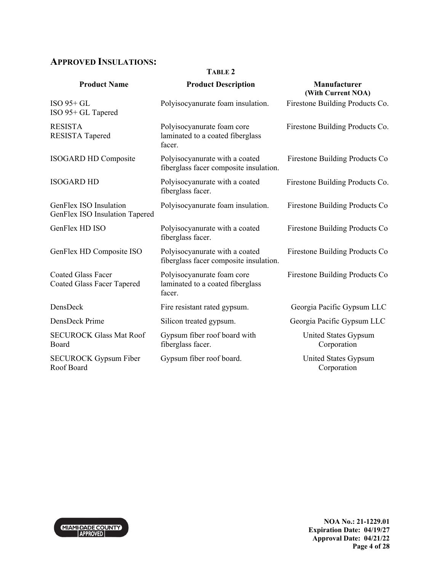# **APPROVED INSULATIONS:**

#### **TABLE 2**

| <b>Product Name</b>                                            | <b>Product Description</b>                                               | Manufacturer<br>(With Current NOA)  |
|----------------------------------------------------------------|--------------------------------------------------------------------------|-------------------------------------|
| $ISO$ 95+ GL<br>ISO 95+ GL Tapered                             | Polyisocyanurate foam insulation.                                        | Firestone Building Products Co.     |
| <b>RESISTA</b><br><b>RESISTA Tapered</b>                       | Polyisocyanurate foam core<br>laminated to a coated fiberglass<br>facer. | Firestone Building Products Co.     |
| <b>ISOGARD HD Composite</b>                                    | Polyisocyanurate with a coated<br>fiberglass facer composite insulation. | Firestone Building Products Co      |
| <b>ISOGARD HD</b>                                              | Polyisocyanurate with a coated<br>fiberglass facer.                      | Firestone Building Products Co.     |
| GenFlex ISO Insulation<br>GenFlex ISO Insulation Tapered       | Polyisocyanurate foam insulation.                                        | Firestone Building Products Co      |
| GenFlex HD ISO                                                 | Polyisocyanurate with a coated<br>fiberglass facer.                      | Firestone Building Products Co      |
| GenFlex HD Composite ISO                                       | Polyisocyanurate with a coated<br>fiberglass facer composite insulation. | Firestone Building Products Co      |
| <b>Coated Glass Facer</b><br><b>Coated Glass Facer Tapered</b> | Polyisocyanurate foam core<br>laminated to a coated fiberglass<br>facer. | Firestone Building Products Co      |
| DensDeck                                                       | Fire resistant rated gypsum.                                             | Georgia Pacific Gypsum LLC          |
| DensDeck Prime                                                 | Silicon treated gypsum.                                                  | Georgia Pacific Gypsum LLC          |
| <b>SECUROCK Glass Mat Roof</b><br>Board                        | Gypsum fiber roof board with<br>fiberglass facer.                        | United States Gypsum<br>Corporation |
| <b>SECUROCK Gypsum Fiber</b><br>Roof Board                     | Gypsum fiber roof board.                                                 | United States Gypsum<br>Corporation |

MIAMI-DADE COUNTY

**NOA No.: 21-1229.01 Expiration Date: 04/19/27 Approval Date: 04/21/22 Page 4 of 28**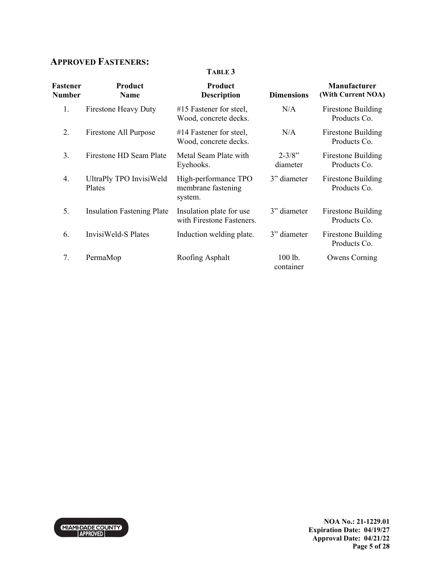# **APPROVED FASTENERS:**

#### **TABLE 3**

| Fastener<br><b>Number</b> | Product<br><b>Name</b>            | Product<br><b>Description</b>                         | <b>Dimensions</b>      | <b>Manufacturer</b><br>(With Current NOA) |
|---------------------------|-----------------------------------|-------------------------------------------------------|------------------------|-------------------------------------------|
| 1.                        | <b>Firestone Heavy Duty</b>       | #15 Fastener for steel,<br>Wood, concrete decks.      | N/A                    | <b>Firestone Building</b><br>Products Co. |
| 2.                        | Firestone All Purpose             | $#14$ Fastener for steel,<br>Wood, concrete decks.    | N/A                    | Firestone Building<br>Products Co.        |
| 3.                        | Firestone HD Seam Plate           | Metal Seam Plate with<br>Eyehooks.                    | $2 - 3/8"$<br>diameter | Firestone Building<br>Products Co.        |
| 4.                        | UltraPly TPO InvisiWeld<br>Plates | High-performance TPO<br>membrane fastening<br>system. | 3" diameter            | Firestone Building<br>Products Co.        |
| 5.                        | <b>Insulation Fastening Plate</b> | Insulation plate for use<br>with Firestone Fasteners. | 3" diameter            | Firestone Building<br>Products Co.        |
| 6.                        | InvisiWeld-S Plates               | Induction welding plate.                              | 3" diameter            | Firestone Building<br>Products Co.        |
| 7.                        | PermaMop                          | Roofing Asphalt                                       | 100 lb.<br>container   | Owens Corning                             |

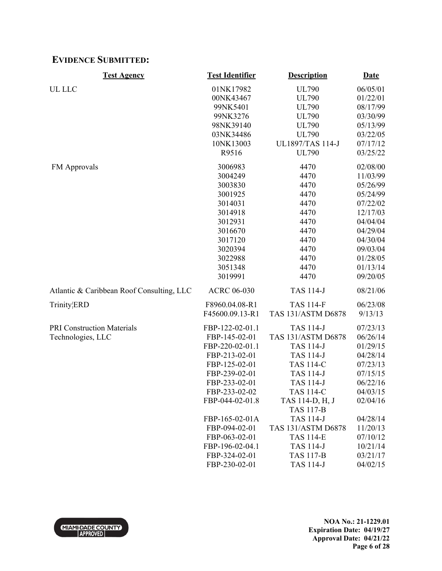## **EVIDENCE SUBMITTED:**

| <b>Test Agency</b>                        | <b>Test Identifier</b> | <b>Description</b>      | <b>Date</b> |
|-------------------------------------------|------------------------|-------------------------|-------------|
| UL LLC                                    | 01NK17982              | <b>UL790</b>            | 06/05/01    |
|                                           | 00NK43467              | <b>UL790</b>            | 01/22/01    |
|                                           | 99NK5401               | <b>UL790</b>            | 08/17/99    |
|                                           | 99NK3276               | <b>UL790</b>            | 03/30/99    |
|                                           | 98NK39140              | <b>UL790</b>            | 05/13/99    |
|                                           | 03NK34486              | <b>UL790</b>            | 03/22/05    |
|                                           | 10NK13003              | <b>UL1897/TAS 114-J</b> | 07/17/12    |
|                                           | R9516                  | <b>UL790</b>            | 03/25/22    |
| <b>FM</b> Approvals                       | 3006983                | 4470                    | 02/08/00    |
|                                           | 3004249                | 4470                    | 11/03/99    |
|                                           | 3003830                | 4470                    | 05/26/99    |
|                                           | 3001925                | 4470                    | 05/24/99    |
|                                           | 3014031                | 4470                    | 07/22/02    |
|                                           | 3014918                | 4470                    | 12/17/03    |
|                                           | 3012931                | 4470                    | 04/04/04    |
|                                           | 3016670                | 4470                    | 04/29/04    |
|                                           | 3017120                | 4470                    | 04/30/04    |
|                                           | 3020394                | 4470                    | 09/03/04    |
|                                           | 3022988                | 4470                    | 01/28/05    |
|                                           | 3051348                | 4470                    | 01/13/14    |
|                                           | 3019991                | 4470                    | 09/20/05    |
| Atlantic & Caribbean Roof Consulting, LLC | <b>ACRC 06-030</b>     | <b>TAS 114-J</b>        | 08/21/06    |
| <b>Trinity</b> <sub>ERD</sub>             | F8960.04.08-R1         | <b>TAS 114-F</b>        | 06/23/08    |
|                                           | F45600.09.13-R1        | TAS 131/ASTM D6878      | 9/13/13     |
| <b>PRI Construction Materials</b>         | FBP-122-02-01.1        | <b>TAS 114-J</b>        | 07/23/13    |
| Technologies, LLC                         | FBP-145-02-01          | TAS 131/ASTM D6878      | 06/26/14    |
|                                           | FBP-220-02-01.1        | <b>TAS 114-J</b>        | 01/29/15    |
|                                           | FBP-213-02-01          | <b>TAS 114-J</b>        | 04/28/14    |
|                                           | FBP-125-02-01          | <b>TAS 114-C</b>        | 07/23/13    |
|                                           | FBP-239-02-01          | <b>TAS 114-J</b>        | 07/15/15    |
|                                           | FBP-233-02-01          | <b>TAS 114-J</b>        | 06/22/16    |
|                                           | FBP-233-02-02          | <b>TAS 114-C</b>        | 04/03/15    |
|                                           | FBP-044-02-01.8        | TAS 114-D, H, J         | 02/04/16    |
|                                           |                        | <b>TAS 117-B</b>        |             |
|                                           | FBP-165-02-01A         | <b>TAS 114-J</b>        | 04/28/14    |
|                                           | FBP-094-02-01          | TAS 131/ASTM D6878      | 11/20/13    |
|                                           | FBP-063-02-01          | <b>TAS 114-E</b>        | 07/10/12    |
|                                           | FBP-196-02-04.1        | <b>TAS 114-J</b>        | 10/21/14    |
|                                           | FBP-324-02-01          | <b>TAS 117-B</b>        | 03/21/17    |
|                                           | FBP-230-02-01          | <b>TAS 114-J</b>        | 04/02/15    |

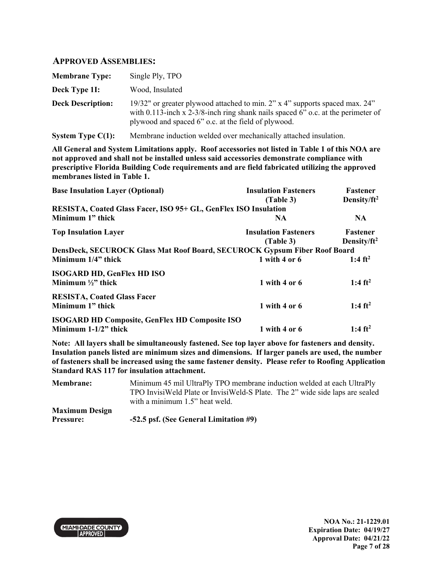### **APPROVED ASSEMBLIES:**

| <b>Membrane Type:</b>    | Single Ply, TPO                                                                                                                                                                                                        |
|--------------------------|------------------------------------------------------------------------------------------------------------------------------------------------------------------------------------------------------------------------|
| Deck Type 11:            | Wood, Insulated                                                                                                                                                                                                        |
| <b>Deck Description:</b> | 19/32" or greater plywood attached to min. 2" x 4" supports spaced max. 24"<br>with 0.113-inch x 2-3/8-inch ring shank nails spaced 6" o.c. at the perimeter of<br>plywood and spaced 6" o.c. at the field of plywood. |

**System Type C(1):** Membrane induction welded over mechanically attached insulation.

**All General and System Limitations apply. Roof accessories not listed in Table 1 of this NOA are not approved and shall not be installed unless said accessories demonstrate compliance with prescriptive Florida Building Code requirements and are field fabricated utilizing the approved membranes listed in Table 1.**

| <b>Base Insulation Layer (Optional)</b>                                   | <b>Insulation Fasteners</b> | <b>Fastener</b>         |
|---------------------------------------------------------------------------|-----------------------------|-------------------------|
|                                                                           | (Table 3)                   | Density/ft <sup>2</sup> |
| RESISTA, Coated Glass Facer, ISO 95+ GL, GenFlex ISO Insulation           |                             |                         |
| Minimum 1" thick                                                          | NA.                         | <b>NA</b>               |
| <b>Top Insulation Layer</b>                                               | <b>Insulation Fasteners</b> | <b>Fastener</b>         |
|                                                                           | (Table 3)                   | Density/ $ft^2$         |
| DensDeck, SECUROCK Glass Mat Roof Board, SECUROCK Gypsum Fiber Roof Board |                             |                         |
| Minimum 1/4" thick                                                        | 1 with 4 or $6$             | 1:4 $ft^2$              |
| <b>ISOGARD HD, GenFlex HD ISO</b>                                         |                             |                         |
| Minimum $\frac{1}{2}$ " thick                                             | 1 with 4 or $6$             | 1:4 ft <sup>2</sup>     |
| <b>RESISTA, Coated Glass Facer</b>                                        |                             |                         |
| Minimum 1" thick                                                          | 1 with 4 or $6$             | 1:4 $ft^2$              |
| <b>ISOGARD HD Composite, GenFlex HD Composite ISO</b>                     |                             |                         |
| Minimum 1-1/2" thick                                                      | 1 with 4 or $6$             | 1:4 $ft^2$              |

| <b>Membrane:</b>      | Minimum 45 mil UltraPly TPO membrane induction welded at each UltraPly       |
|-----------------------|------------------------------------------------------------------------------|
|                       | TPO InvisiWeld Plate or InvisiWeld-S Plate. The 2" wide side laps are sealed |
|                       | with a minimum 1.5" heat weld.                                               |
| <b>Maximum Design</b> |                                                                              |
| <b>Pressure:</b>      | -52.5 psf. (See General Limitation #9)                                       |

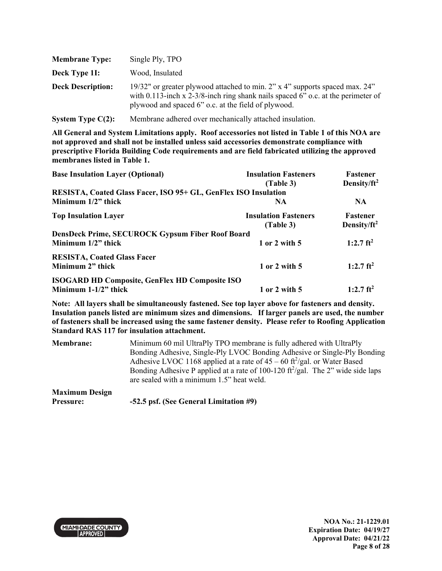| <b>Membrane Type:</b>    | Single Ply, TPO                                                                                                                                                                                                        |
|--------------------------|------------------------------------------------------------------------------------------------------------------------------------------------------------------------------------------------------------------------|
| Deck Type 11:            | Wood, Insulated                                                                                                                                                                                                        |
| <b>Deck Description:</b> | 19/32" or greater plywood attached to min. 2" x 4" supports spaced max. 24"<br>with 0.113-inch x 2-3/8-inch ring shank nails spaced 6" o.c. at the perimeter of<br>plywood and spaced 6" o.c. at the field of plywood. |

**System Type C(2):** Membrane adhered over mechanically attached insulation.

**All General and System Limitations apply. Roof accessories not listed in Table 1 of this NOA are not approved and shall not be installed unless said accessories demonstrate compliance with prescriptive Florida Building Code requirements and are field fabricated utilizing the approved membranes listed in Table 1.**

| <b>Base Insulation Layer (Optional)</b>                                          | <b>Insulation Fasteners</b><br>(Table 3) | <b>Fastener</b><br>Density/ft <sup>2</sup> |
|----------------------------------------------------------------------------------|------------------------------------------|--------------------------------------------|
| RESISTA, Coated Glass Facer, ISO 95+ GL, GenFlex ISO Insulation                  |                                          |                                            |
| Minimum $1/2$ " thick                                                            | NA.                                      | <b>NA</b>                                  |
| <b>Top Insulation Layer</b>                                                      | <b>Insulation Fasteners</b><br>(Table 3) | <b>Fastener</b><br>Density/ $ft^2$         |
| DensDeck Prime, SECUROCK Gypsum Fiber Roof Board<br>Minimum $1/2$ " thick        | 1 or 2 with 5                            | 1:2.7 $ft^2$                               |
| <b>RESISTA, Coated Glass Facer</b><br>Minimum 2" thick                           | 1 or 2 with 5                            | 1:2.7 $ft^2$                               |
| <b>ISOGARD HD Composite, GenFlex HD Composite ISO</b><br>Minimum $1-1/2$ " thick | 1 or 2 with 5                            | $1:2.7$ ft <sup>2</sup>                    |

| <b>Membrane:</b>      | Minimum 60 mil UltraPly TPO membrane is fully adhered with UltraPly                                      |
|-----------------------|----------------------------------------------------------------------------------------------------------|
|                       | Bonding Adhesive, Single-Ply LVOC Bonding Adhesive or Single-Ply Bonding                                 |
|                       | Adhesive LVOC 1168 applied at a rate of $45 - 60$ ft <sup>2</sup> /gal. or Water Based                   |
|                       | Bonding Adhesive P applied at a rate of 100-120 $\frac{\text{ft}^2}{\text{gal}}$ . The 2" wide side laps |
|                       | are sealed with a minimum 1.5" heat weld.                                                                |
| <b>Maximum Design</b> |                                                                                                          |
| <b>Pressure:</b>      | -52.5 psf. (See General Limitation #9)                                                                   |

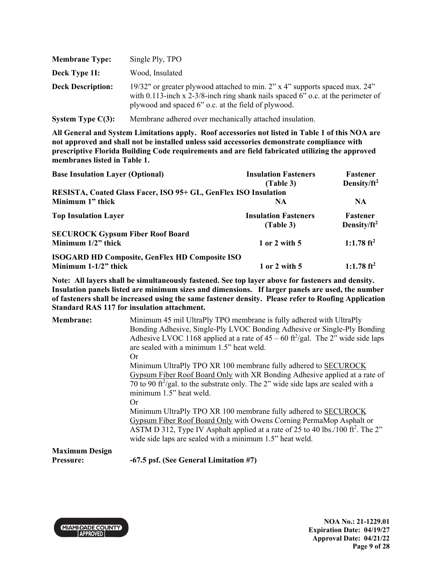| <b>Membrane Type:</b>    | Single Ply, TPO                                                                                                                                                                                                        |
|--------------------------|------------------------------------------------------------------------------------------------------------------------------------------------------------------------------------------------------------------------|
| Deck Type 11:            | Wood, Insulated                                                                                                                                                                                                        |
| <b>Deck Description:</b> | 19/32" or greater plywood attached to min. 2" x 4" supports spaced max. 24"<br>with 0.113-inch x 2-3/8-inch ring shank nails spaced 6" o.c. at the perimeter of<br>plywood and spaced 6" o.c. at the field of plywood. |

**System Type C(3):** Membrane adhered over mechanically attached insulation.

**All General and System Limitations apply. Roof accessories not listed in Table 1 of this NOA are not approved and shall not be installed unless said accessories demonstrate compliance with prescriptive Florida Building Code requirements and are field fabricated utilizing the approved membranes listed in Table 1.**

| <b>Base Insulation Layer (Optional)</b>                         | <b>Insulation Fasteners</b> | Fastener                |
|-----------------------------------------------------------------|-----------------------------|-------------------------|
|                                                                 | (Table 3)                   | Density/ft <sup>2</sup> |
| RESISTA, Coated Glass Facer, ISO 95+ GL, GenFlex ISO Insulation |                             |                         |
| Minimum 1" thick                                                | <b>NA</b>                   | <b>NA</b>               |
| <b>Top Insulation Layer</b>                                     | <b>Insulation Fasteners</b> | <b>Fastener</b>         |
|                                                                 | (Table 3)                   | Density/ $ft^2$         |
| <b>SECUROCK Gypsum Fiber Roof Board</b>                         |                             |                         |
| Minimum 1/2" thick                                              | 1 or 2 with 5               | 1:1.78 $ft^2$           |
| <b>ISOGARD HD Composite, GenFlex HD Composite ISO</b>           |                             |                         |
| Minimum $1-1/2$ " thick                                         | 1 or 2 with 5               | 1:1.78 $ft^2$           |

**Note: All layers shall be simultaneously fastened. See top layer above for fasteners and density. Insulation panels listed are minimum sizes and dimensions. If larger panels are used, the number of fasteners shall be increased using the same fastener density. Please refer to Roofing Application Standard RAS 117 for insulation attachment.**

| <b>Membrane:</b> | Minimum 45 mil UltraPly TPO membrane is fully adhered with UltraPly<br>Bonding Adhesive, Single-Ply LVOC Bonding Adhesive or Single-Ply Bonding<br>Adhesive LVOC 1168 applied at a rate of $45 - 60$ ft <sup>2</sup> /gal. The 2" wide side laps<br>are sealed with a minimum 1.5" heat weld.<br>Or<br>Minimum UltraPly TPO XR 100 membrane fully adhered to SECUROCK |
|------------------|-----------------------------------------------------------------------------------------------------------------------------------------------------------------------------------------------------------------------------------------------------------------------------------------------------------------------------------------------------------------------|
|                  | Gypsum Fiber Roof Board Only with XR Bonding Adhesive applied at a rate of<br>70 to 90 ft <sup>2</sup> /gal. to the substrate only. The 2" wide side laps are sealed with a<br>minimum 1.5" heat weld.                                                                                                                                                                |
|                  | 0r<br>Minimum UltraPly TPO XR 100 membrane fully adhered to SECUROCK<br>Gypsum Fiber Roof Board Only with Owens Corning PermaMop Asphalt or<br>ASTM D 312, Type IV Asphalt applied at a rate of 25 to 40 lbs./100 ft <sup>2</sup> . The 2"<br>wide side laps are sealed with a minimum 1.5" heat weld.                                                                |
| Maximum Decian   |                                                                                                                                                                                                                                                                                                                                                                       |

**Maximum Design** 

**Pressure: -67.5 psf. (See General Limitation #7)** 

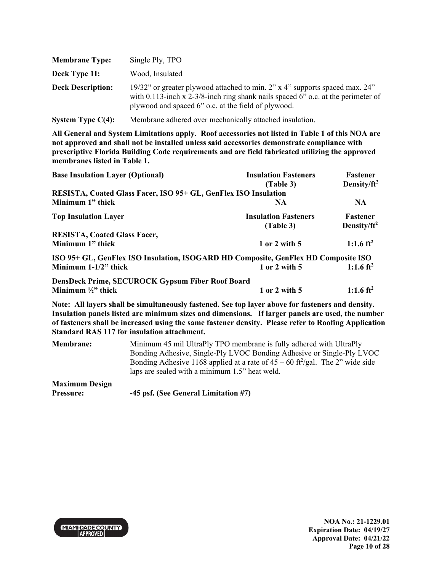| <b>Membrane Type:</b>    | Single Ply, TPO                                                                                                                                                                                                           |
|--------------------------|---------------------------------------------------------------------------------------------------------------------------------------------------------------------------------------------------------------------------|
| Deck Type 11:            | Wood, Insulated                                                                                                                                                                                                           |
| <b>Deck Description:</b> | 19/32" or greater plywood attached to min. 2" x 4" supports spaced max. 24"<br>with 0.113-inch x 2-3/8-inch ring shank nails spaced $6$ " o.c. at the perimeter of<br>plywood and spaced 6" o.c. at the field of plywood. |
| System Type $C(4)$ :     | Membrane adhered over mechanically attached insulation.                                                                                                                                                                   |

| <b>Base Insulation Layer (Optional)</b>                                            | <b>Insulation Fasteners</b> | Fastener                |
|------------------------------------------------------------------------------------|-----------------------------|-------------------------|
|                                                                                    | (Table 3)                   | Density/ft <sup>2</sup> |
| RESISTA, Coated Glass Facer, ISO 95+ GL, GenFlex ISO Insulation                    |                             |                         |
| Minimum 1" thick                                                                   | <b>NA</b>                   | <b>NA</b>               |
| <b>Top Insulation Layer</b>                                                        | <b>Insulation Fasteners</b> | <b>Fastener</b>         |
|                                                                                    | (Table 3)                   | Density/ $ft^2$         |
| <b>RESISTA, Coated Glass Facer,</b>                                                |                             |                         |
| Minimum 1" thick                                                                   | 1 or 2 with 5               | 1:1.6 $ft^2$            |
| ISO 95+ GL, GenFlex ISO Insulation, ISOGARD HD Composite, GenFlex HD Composite ISO |                             |                         |
| Minimum $1-1/2$ " thick                                                            | 1 or 2 with 5               | 1:1.6 $ft^2$            |
| <b>DensDeck Prime, SECUROCK Gypsum Fiber Roof Board</b>                            |                             |                         |
| Minimum $\frac{1}{2}$ thick                                                        | 1 or 2 with 5               | 1:1.6 ft <sup>2</sup>   |

| <b>Membrane:</b>      | Minimum 45 mil UltraPly TPO membrane is fully adhered with UltraPly                         |
|-----------------------|---------------------------------------------------------------------------------------------|
|                       | Bonding Adhesive, Single-Ply LVOC Bonding Adhesive or Single-Ply LVOC                       |
|                       | Bonding Adhesive 1168 applied at a rate of $45 - 60$ ft <sup>2</sup> /gal. The 2" wide side |
|                       | laps are sealed with a minimum 1.5" heat weld.                                              |
| <b>Maximum Design</b> |                                                                                             |
| <b>Pressure:</b>      | -45 psf. (See General Limitation #7)                                                        |

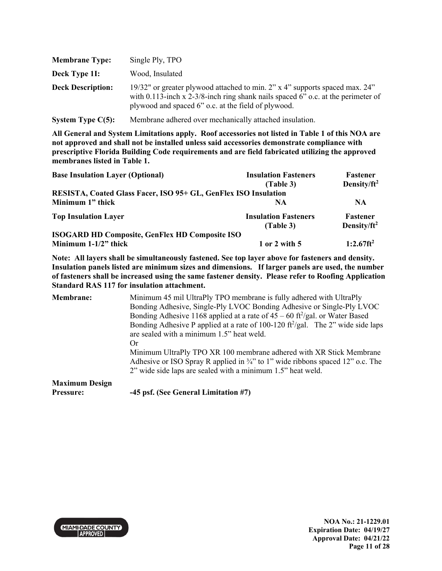| <b>Membrane Type:</b>    | Single Ply, TPO                                                                                                                                                                                                        |
|--------------------------|------------------------------------------------------------------------------------------------------------------------------------------------------------------------------------------------------------------------|
| Deck Type 11:            | Wood, Insulated                                                                                                                                                                                                        |
| <b>Deck Description:</b> | 19/32" or greater plywood attached to min. 2" x 4" supports spaced max. 24"<br>with 0.113-inch x 2-3/8-inch ring shank nails spaced 6" o.c. at the perimeter of<br>plywood and spaced 6" o.c. at the field of plywood. |
| System Type $C(5)$ :     | Membrane adhered over mechanically attached insulation.                                                                                                                                                                |

**membranes listed in Table 1.**

| <b>Insulation Fasteners</b><br>(Table 3)                        | Fastener<br>Density/ $ft^2$ |
|-----------------------------------------------------------------|-----------------------------|
| RESISTA, Coated Glass Facer, ISO 95+ GL, GenFlex ISO Insulation |                             |
| <b>NA</b>                                                       | <b>NA</b>                   |
| <b>Insulation Fasteners</b>                                     | Fastener                    |
|                                                                 | Density/ft <sup>2</sup>     |
| 1 or 2 with 5                                                   | $1:2.67$ ft <sup>2</sup>    |
| <b>ISOGARD HD Composite, GenFlex HD Composite ISO</b>           | (Table 3)                   |

**Note: All layers shall be simultaneously fastened. See top layer above for fasteners and density. Insulation panels listed are minimum sizes and dimensions. If larger panels are used, the number of fasteners shall be increased using the same fastener density. Please refer to Roofing Application Standard RAS 117 for insulation attachment.**

**Membrane:** Minimum 45 mil UltraPly TPO membrane is fully adhered with UltraPly Bonding Adhesive, Single-Ply LVOC Bonding Adhesive or Single-Ply LVOC Bonding Adhesive 1168 applied at a rate of  $45 - 60$  ft<sup>2</sup>/gal. or Water Based Bonding Adhesive P applied at a rate of 100-120  $\frac{\text{ft}^2}{\text{gal}}$ . The 2" wide side laps are sealed with a minimum 1.5" heat weld. Or Minimum UltraPly TPO XR 100 membrane adhered with XR Stick Membrane Adhesive or ISO Spray R applied in  $\frac{3}{4}$ " to 1" wide ribbons spaced 12" o.c. The 2" wide side laps are sealed with a minimum 1.5" heat weld. **Maximum Design Pressure: -45 psf. (See General Limitation #7)** 

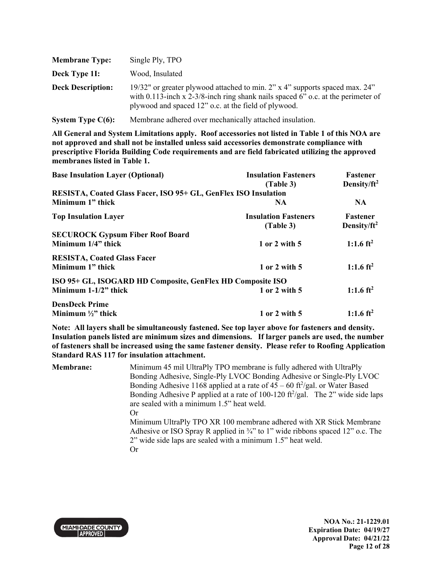| <b>Membrane Type:</b>    | Single Ply, TPO                                                                                                                                                                                                            |
|--------------------------|----------------------------------------------------------------------------------------------------------------------------------------------------------------------------------------------------------------------------|
| Deck Type 11:            | Wood, Insulated                                                                                                                                                                                                            |
| <b>Deck Description:</b> | 19/32" or greater plywood attached to min. 2" x 4" supports spaced max. 24"<br>with 0.113-inch x 2-3/8-inch ring shank nails spaced $6$ " o.c. at the perimeter of<br>plywood and spaced 12" o.c. at the field of plywood. |
| System Type $C(6)$ :     | Membrane adhered over mechanically attached insulation.                                                                                                                                                                    |

| <b>Base Insulation Layer (Optional)</b>                         | <b>Insulation Fasteners</b><br>(Table 3) | Fastener<br>Density/ $ft^2$ |
|-----------------------------------------------------------------|------------------------------------------|-----------------------------|
| RESISTA, Coated Glass Facer, ISO 95+ GL, GenFlex ISO Insulation |                                          |                             |
| Minimum 1" thick                                                | <b>NA</b>                                | <b>NA</b>                   |
| <b>Top Insulation Layer</b>                                     | <b>Insulation Fasteners</b>              | <b>Fastener</b>             |
|                                                                 | (Table 3)                                | Density/ $ft^2$             |
| <b>SECUROCK Gypsum Fiber Roof Board</b>                         |                                          |                             |
| Minimum 1/4" thick                                              | 1 or 2 with 5                            | 1:1.6 ft <sup>2</sup>       |
| <b>RESISTA, Coated Glass Facer</b>                              |                                          |                             |
| Minimum 1" thick                                                | 1 or 2 with 5                            | 1:1.6 $ft^2$                |
| ISO 95+ GL, ISOGARD HD Composite, GenFlex HD Composite ISO      |                                          |                             |
| Minimum $1-1/2$ " thick                                         | 1 or 2 with 5                            | 1:1.6 $ft^2$                |
| <b>DensDeck Prime</b>                                           |                                          |                             |
| Minimum $\frac{1}{2}$ " thick                                   | 1 or 2 with 5                            | 1:1.6 ft <sup>2</sup>       |

| <b>Membrane:</b> | Minimum 45 mil UltraPly TPO membrane is fully adhered with UltraPly                                      |
|------------------|----------------------------------------------------------------------------------------------------------|
|                  | Bonding Adhesive, Single-Ply LVOC Bonding Adhesive or Single-Ply LVOC                                    |
|                  | Bonding Adhesive 1168 applied at a rate of $45 - 60$ ft <sup>2</sup> /gal. or Water Based                |
|                  | Bonding Adhesive P applied at a rate of 100-120 $\frac{\text{ft}^2}{\text{gal}}$ . The 2" wide side laps |
|                  | are sealed with a minimum 1.5" heat weld.                                                                |
|                  | Or                                                                                                       |
|                  | Minimum UltraPly TPO XR 100 membrane adhered with XR Stick Membrane                                      |
|                  | Adhesive or ISO Spray R applied in $\frac{3}{4}$ " to 1" wide ribbons spaced 12" o.c. The                |
|                  | 2" wide side laps are sealed with a minimum 1.5" heat weld.                                              |
|                  | Or                                                                                                       |

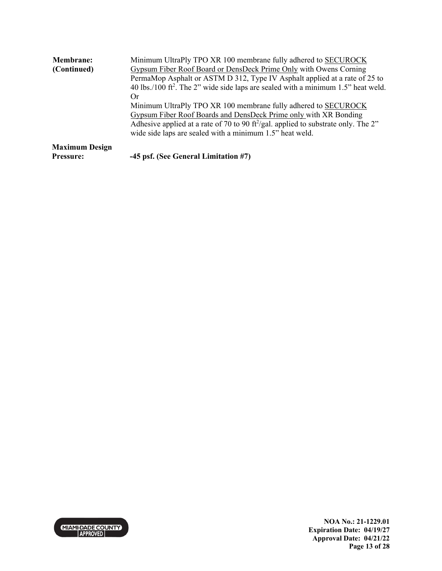| <b>Membrane:</b>      | Minimum UltraPly TPO XR 100 membrane fully adhered to SECUROCK                                                                                  |
|-----------------------|-------------------------------------------------------------------------------------------------------------------------------------------------|
| (Continued)           | Gypsum Fiber Roof Board or DensDeck Prime Only with Owens Corning<br>PermaMop Asphalt or ASTM D 312, Type IV Asphalt applied at a rate of 25 to |
|                       | 40 lbs./100 ft <sup>2</sup> . The 2" wide side laps are sealed with a minimum 1.5" heat weld.<br>Or                                             |
|                       | Minimum UltraPly TPO XR 100 membrane fully adhered to SECUROCK                                                                                  |
|                       | Gypsum Fiber Roof Boards and DensDeck Prime only with XR Bonding                                                                                |
|                       | Adhesive applied at a rate of 70 to 90 ft <sup>2</sup> /gal. applied to substrate only. The 2"                                                  |
|                       | wide side laps are sealed with a minimum 1.5" heat weld.                                                                                        |
| <b>Maximum Design</b> |                                                                                                                                                 |
| Pressure:             | -45 psf. (See General Limitation #7)                                                                                                            |

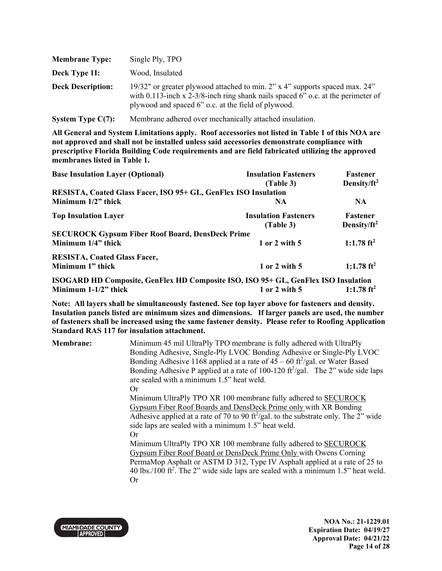| <b>Membrane Type:</b>    | Single Ply, TPO                                                                                                                                                                                                        |
|--------------------------|------------------------------------------------------------------------------------------------------------------------------------------------------------------------------------------------------------------------|
| Deck Type 11:            | Wood, Insulated                                                                                                                                                                                                        |
| <b>Deck Description:</b> | 19/32" or greater plywood attached to min. 2" x 4" supports spaced max. 24"<br>with 0.113-inch x 2-3/8-inch ring shank nails spaced 6" o.c. at the perimeter of<br>plywood and spaced 6" o.c. at the field of plywood. |

**System Type C(7):** Membrane adhered over mechanically attached insulation.

**All General and System Limitations apply. Roof accessories not listed in Table 1 of this NOA are not approved and shall not be installed unless said accessories demonstrate compliance with prescriptive Florida Building Code requirements and are field fabricated utilizing the approved membranes listed in Table 1.**

| <b>Base Insulation Layer (Optional)</b>                                            | <b>Insulation Fasteners</b><br>(Table 3) | <b>Fastener</b><br>Density/ $ft^2$ |
|------------------------------------------------------------------------------------|------------------------------------------|------------------------------------|
| RESISTA, Coated Glass Facer, ISO 95+ GL, GenFlex ISO Insulation                    |                                          |                                    |
| Minimum $1/2$ " thick                                                              | <b>NA</b>                                | NA.                                |
| <b>Top Insulation Layer</b>                                                        | <b>Insulation Fasteners</b>              | <b>Fastener</b>                    |
|                                                                                    | (Table 3)                                | Density/ $ft^2$                    |
| <b>SECUROCK Gypsum Fiber Roof Board, DensDeck Prime</b>                            |                                          |                                    |
| Minimum 1/4" thick                                                                 | 1 or 2 with 5                            | 1:1.78 $ft^2$                      |
| <b>RESISTA, Coated Glass Facer,</b>                                                |                                          |                                    |
| Minimum 1" thick                                                                   | 1 or 2 with 5                            | 1:1.78 ft <sup>2</sup>             |
| ISOGARD HD Composite, GenFlex HD Composite ISO, ISO 95+ GL, GenFlex ISO Insulation |                                          |                                    |
| Minimum $1-1/2$ " thick                                                            | 1 or 2 with 5                            | 1:1.78 $ft^2$                      |

**Note: All layers shall be simultaneously fastened. See top layer above for fasteners and density. Insulation panels listed are minimum sizes and dimensions. If larger panels are used, the number of fasteners shall be increased using the same fastener density. Please refer to Roofing Application Standard RAS 117 for insulation attachment.**

| <b>Membrane:</b> | Minimum 45 mil UltraPly TPO membrane is fully adhered with UltraPly                                      |
|------------------|----------------------------------------------------------------------------------------------------------|
|                  | Bonding Adhesive, Single-Ply LVOC Bonding Adhesive or Single-Ply LVOC                                    |
|                  | Bonding Adhesive 1168 applied at a rate of $45 - 60$ ft <sup>2</sup> /gal. or Water Based                |
|                  | Bonding Adhesive P applied at a rate of 100-120 $\frac{\text{ft}^2}{\text{gal}}$ . The 2" wide side laps |
|                  | are sealed with a minimum 1.5" heat weld.                                                                |
|                  | Or                                                                                                       |
|                  | Minimum UltraPly TPO XR 100 membrane fully adhered to SECUROCK                                           |
|                  | Gypsum Fiber Roof Boards and DensDeck Prime only with XR Bonding                                         |
|                  | Adhesive applied at a rate of 70 to 90 ft <sup>2</sup> /gal. to the substrate only. The 2" wide          |
|                  | side laps are sealed with a minimum 1.5" heat weld.                                                      |
|                  | Or                                                                                                       |
|                  | Minimum UltraPly TPO XR 100 membrane fully adhered to SECUROCK                                           |
|                  | Gypsum Fiber Roof Board or DensDeck Prime Only with Owens Corning                                        |
|                  | PermaMop Asphalt or ASTM D 312, Type IV Asphalt applied at a rate of 25 to                               |
|                  | 40 lbs./100 ft <sup>2</sup> . The 2" wide side laps are sealed with a minimum 1.5" heat weld.            |
|                  | <b>Or</b>                                                                                                |
|                  |                                                                                                          |



**NOA No.: 21-1229.01 Expiration Date: 04/19/27 Approval Date: 04/21/22 Page 14 of 28**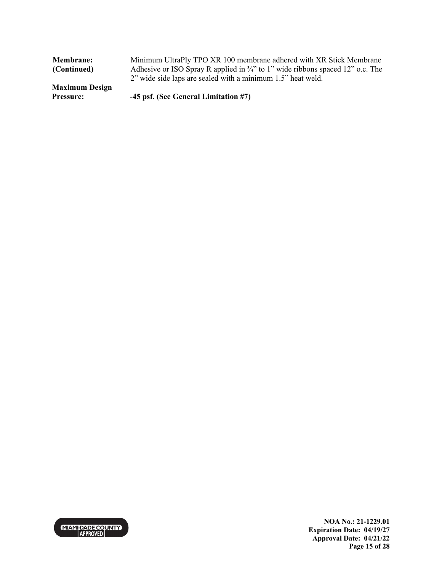| <b>Membrane:</b>      | Minimum UltraPly TPO XR 100 membrane adhered with XR Stick Membrane                       |
|-----------------------|-------------------------------------------------------------------------------------------|
| (Continued)           | Adhesive or ISO Spray R applied in $\frac{3}{4}$ " to 1" wide ribbons spaced 12" o.c. The |
|                       | 2" wide side laps are sealed with a minimum 1.5" heat weld.                               |
| <b>Maximum Design</b> |                                                                                           |
| <b>Pressure:</b>      | -45 psf. (See General Limitation #7)                                                      |



**NOA No.: 21-1229.01 Expiration Date: 04/19/27 Approval Date: 04/21/22 Page 15 of 28**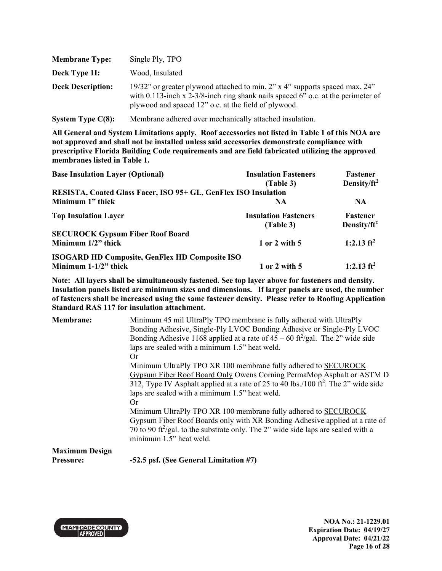| <b>Membrane Type:</b>    | Single Ply, TPO                                                                                                                                                                                                         |
|--------------------------|-------------------------------------------------------------------------------------------------------------------------------------------------------------------------------------------------------------------------|
| Deck Type 11:            | Wood, Insulated                                                                                                                                                                                                         |
| <b>Deck Description:</b> | 19/32" or greater plywood attached to min. 2" x 4" supports spaced max. 24"<br>with 0.113-inch x 2-3/8-inch ring shank nails spaced 6" o.c. at the perimeter of<br>plywood and spaced 12" o.c. at the field of plywood. |

**System Type C(8):** Membrane adhered over mechanically attached insulation.

**All General and System Limitations apply. Roof accessories not listed in Table 1 of this NOA are not approved and shall not be installed unless said accessories demonstrate compliance with prescriptive Florida Building Code requirements and are field fabricated utilizing the approved membranes listed in Table 1.**

| <b>Base Insulation Layer (Optional)</b>                         | <b>Insulation Fasteners</b> | Fastener                |
|-----------------------------------------------------------------|-----------------------------|-------------------------|
|                                                                 | (Table 3)                   | Density/ft <sup>2</sup> |
| RESISTA, Coated Glass Facer, ISO 95+ GL, GenFlex ISO Insulation |                             |                         |
| Minimum 1" thick                                                | <b>NA</b>                   | <b>NA</b>               |
| <b>Top Insulation Layer</b>                                     | <b>Insulation Fasteners</b> | <b>Fastener</b>         |
|                                                                 | (Table 3)                   | Density/ $ft^2$         |
| <b>SECUROCK Gypsum Fiber Roof Board</b>                         |                             |                         |
| Minimum 1/2" thick                                              | 1 or 2 with 5               | 1:2.13 $ft^2$           |
| <b>ISOGARD HD Composite, GenFlex HD Composite ISO</b>           |                             |                         |
| Minimum $1-1/2$ " thick                                         | 1 or 2 with 5               | 1:2.13 $ft^2$           |

**Note: All layers shall be simultaneously fastened. See top layer above for fasteners and density. Insulation panels listed are minimum sizes and dimensions. If larger panels are used, the number of fasteners shall be increased using the same fastener density. Please refer to Roofing Application Standard RAS 117 for insulation attachment.**

| <b>Membrane:</b>      | Minimum 45 mil UltraPly TPO membrane is fully adhered with UltraPly                            |
|-----------------------|------------------------------------------------------------------------------------------------|
|                       | Bonding Adhesive, Single-Ply LVOC Bonding Adhesive or Single-Ply LVOC                          |
|                       | Bonding Adhesive 1168 applied at a rate of $45 - 60$ ft <sup>2</sup> /gal. The 2" wide side    |
|                       | laps are sealed with a minimum 1.5" heat weld.                                                 |
|                       | Or                                                                                             |
|                       | Minimum UltraPly TPO XR 100 membrane fully adhered to SECUROCK                                 |
|                       | Gypsum Fiber Roof Board Only Owens Corning PermaMop Asphalt or ASTM D                          |
|                       | 312, Type IV Asphalt applied at a rate of 25 to 40 lbs./100 ft <sup>2</sup> . The 2" wide side |
|                       | laps are sealed with a minimum 1.5" heat weld.                                                 |
|                       | Or                                                                                             |
|                       | Minimum UltraPly TPO XR 100 membrane fully adhered to SECUROCK                                 |
|                       | Gypsum Fiber Roof Boards only with XR Bonding Adhesive applied at a rate of                    |
|                       | 70 to 90 ft <sup>2</sup> /gal. to the substrate only. The 2" wide side laps are sealed with a  |
|                       | minimum 1.5" heat weld.                                                                        |
| <b>Maximum Design</b> |                                                                                                |

**Pressure: -52.5 psf. (See General Limitation #7)** 

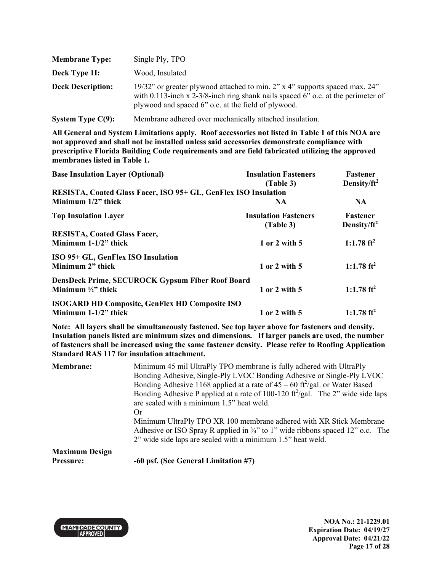| <b>Membrane Type:</b>    | Single Ply, TPO                                                                                                                                                                                                        |
|--------------------------|------------------------------------------------------------------------------------------------------------------------------------------------------------------------------------------------------------------------|
| Deck Type 11:            | Wood, Insulated                                                                                                                                                                                                        |
| <b>Deck Description:</b> | 19/32" or greater plywood attached to min. 2" x 4" supports spaced max. 24"<br>with 0.113-inch x 2-3/8-inch ring shank nails spaced 6" o.c. at the perimeter of<br>plywood and spaced 6" o.c. at the field of plywood. |

**System Type C(9):** Membrane adhered over mechanically attached insulation.

**All General and System Limitations apply. Roof accessories not listed in Table 1 of this NOA are not approved and shall not be installed unless said accessories demonstrate compliance with prescriptive Florida Building Code requirements and are field fabricated utilizing the approved membranes listed in Table 1.**

| <b>Base Insulation Layer (Optional)</b>                                                | <b>Insulation Fasteners</b><br>(Table 3) | <b>Fastener</b><br>Density/ft <sup>2</sup> |
|----------------------------------------------------------------------------------------|------------------------------------------|--------------------------------------------|
| RESISTA, Coated Glass Facer, ISO 95+ GL, GenFlex ISO Insulation                        |                                          |                                            |
| Minimum $1/2$ " thick                                                                  | NA.                                      | <b>NA</b>                                  |
| <b>Top Insulation Layer</b>                                                            | <b>Insulation Fasteners</b><br>(Table 3) | <b>Fastener</b><br>Density/ $ft^2$         |
| <b>RESISTA, Coated Glass Facer,</b><br>Minimum $1-1/2$ " thick                         | 1 or 2 with 5                            | 1:1.78 $ft^2$                              |
| ISO 95+ GL, GenFlex ISO Insulation<br>Minimum 2" thick                                 | 1 or 2 with 5                            | 1:1.78 $ft^2$                              |
| <b>DensDeck Prime, SECUROCK Gypsum Fiber Roof Board</b><br>Minimum $\frac{1}{2}$ thick | 1 or 2 with 5                            | 1:1.78 $ft^2$                              |
| <b>ISOGARD HD Composite, GenFlex HD Composite ISO</b><br>Minimum $1-1/2$ " thick       | 1 or 2 with 5                            | 1:1.78 $ft^2$                              |

| <b>Membrane:</b>      | Minimum 45 mil UltraPly TPO membrane is fully adhered with UltraPly                                                                                              |  |  |
|-----------------------|------------------------------------------------------------------------------------------------------------------------------------------------------------------|--|--|
|                       | Bonding Adhesive, Single-Ply LVOC Bonding Adhesive or Single-Ply LVOC                                                                                            |  |  |
|                       | Bonding Adhesive 1168 applied at a rate of $45 - 60$ ft <sup>2</sup> /gal. or Water Based                                                                        |  |  |
|                       | Bonding Adhesive P applied at a rate of 100-120 $\frac{\text{ft}^2}{\text{gal}}$ . The 2" wide side laps                                                         |  |  |
|                       | are sealed with a minimum 1.5" heat weld.                                                                                                                        |  |  |
|                       | Or                                                                                                                                                               |  |  |
|                       | Minimum UltraPly TPO XR 100 membrane adhered with XR Stick Membrane<br>Adhesive or ISO Spray R applied in $\frac{3}{4}$ " to 1" wide ribbons spaced 12" o.c. The |  |  |
|                       | 2" wide side laps are sealed with a minimum 1.5" heat weld.                                                                                                      |  |  |
| <b>Maximum Design</b> |                                                                                                                                                                  |  |  |
| <b>Pressure:</b>      | -60 psf. (See General Limitation #7)                                                                                                                             |  |  |

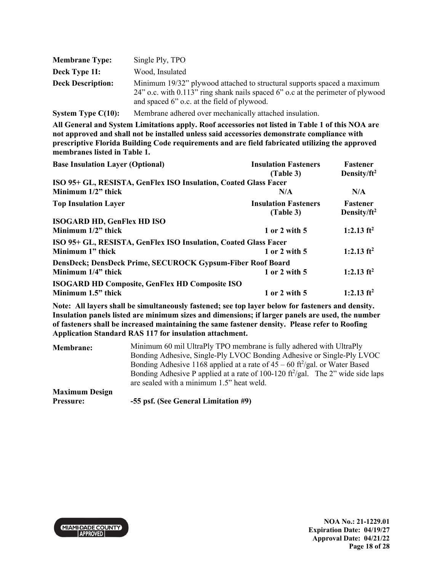| <b>Membrane Type:</b>    | Single Ply, TPO                                                                                                                                                                                           |
|--------------------------|-----------------------------------------------------------------------------------------------------------------------------------------------------------------------------------------------------------|
| Deck Type 11:            | Wood, Insulated                                                                                                                                                                                           |
| <b>Deck Description:</b> | Minimum 19/32" plywood attached to structural supports spaced a maximum<br>24" o.c. with 0.113" ring shank nails spaced 6" o.c at the perimeter of plywood<br>and spaced 6" o.c. at the field of plywood. |
| System Type $C(10)$ :    | Membrane adhered over mechanically attached insulation.                                                                                                                                                   |

| <b>Base Insulation Layer (Optional)</b>                         | <b>Insulation Fasteners</b><br>(Table 3) | Fastener<br>Density/ft <sup>2</sup> |
|-----------------------------------------------------------------|------------------------------------------|-------------------------------------|
| ISO 95+ GL, RESISTA, GenFlex ISO Insulation, Coated Glass Facer |                                          |                                     |
| Minimum 1/2" thick                                              | N/A                                      | N/A                                 |
| <b>Top Insulation Layer</b>                                     | <b>Insulation Fasteners</b><br>(Table 3) | <b>Fastener</b><br>Density/ $ft^2$  |
| <b>ISOGARD HD, GenFlex HD ISO</b>                               |                                          |                                     |
| Minimum $1/2$ " thick                                           | 1 or 2 with 5                            | 1:2.13 ft <sup>2</sup>              |
| ISO 95+ GL, RESISTA, GenFlex ISO Insulation, Coated Glass Facer |                                          |                                     |
| Minimum 1" thick                                                | 1 or 2 with 5                            | 1:2.13 $ft^2$                       |
| DensDeck; DensDeck Prime, SECUROCK Gypsum-Fiber Roof Board      |                                          |                                     |
| Minimum 1/4" thick                                              | 1 or 2 with 5                            | 1:2.13 $ft^2$                       |
| <b>ISOGARD HD Composite, GenFlex HD Composite ISO</b>           |                                          |                                     |
| Minimum 1.5" thick                                              | 1 or 2 with 5                            | 1:2.13 $ft^2$                       |

| <b>Membrane:</b>                          | Minimum 60 mil UltraPly TPO membrane is fully adhered with UltraPly<br>Bonding Adhesive, Single-Ply LVOC Bonding Adhesive or Single-Ply LVOC                                                                                                       |
|-------------------------------------------|----------------------------------------------------------------------------------------------------------------------------------------------------------------------------------------------------------------------------------------------------|
|                                           | Bonding Adhesive 1168 applied at a rate of $45 - 60$ ft <sup>2</sup> /gal. or Water Based<br>Bonding Adhesive P applied at a rate of 100-120 $\frac{\text{ft}^2}{\text{gal}}$ . The 2" wide side laps<br>are sealed with a minimum 1.5" heat weld. |
| <b>Maximum Design</b><br><b>Pressure:</b> | -55 psf. (See General Limitation #9)                                                                                                                                                                                                               |

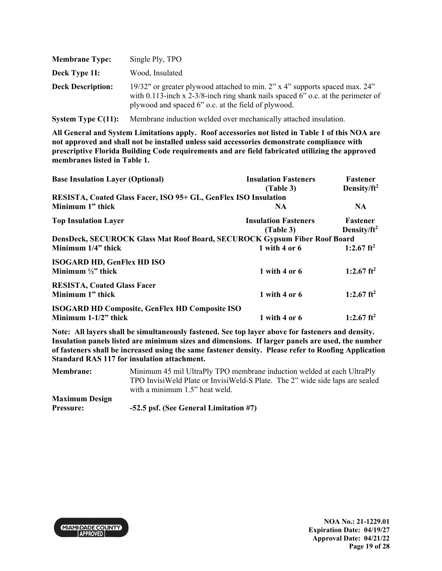| <b>Membrane Type:</b>    | Single Ply, TPO                                                                                                                                                                                                        |
|--------------------------|------------------------------------------------------------------------------------------------------------------------------------------------------------------------------------------------------------------------|
| Deck Type 11:            | Wood, Insulated                                                                                                                                                                                                        |
| <b>Deck Description:</b> | 19/32" or greater plywood attached to min. 2" x 4" supports spaced max. 24"<br>with 0.113-inch x 2-3/8-inch ring shank nails spaced 6" o.c. at the perimeter of<br>plywood and spaced 6" o.c. at the field of plywood. |

**System Type C(11):** Membrane induction welded over mechanically attached insulation.

**All General and System Limitations apply. Roof accessories not listed in Table 1 of this NOA are not approved and shall not be installed unless said accessories demonstrate compliance with prescriptive Florida Building Code requirements and are field fabricated utilizing the approved membranes listed in Table 1.** 

| <b>Base Insulation Layer (Optional)</b>                                   | <b>Insulation Fasteners</b><br>(Table 3) | Fastener<br>Density/ft <sup>2</sup> |
|---------------------------------------------------------------------------|------------------------------------------|-------------------------------------|
| RESISTA, Coated Glass Facer, ISO 95+ GL, GenFlex ISO Insulation           |                                          |                                     |
| Minimum 1" thick                                                          | NA.                                      | NA.                                 |
| <b>Top Insulation Layer</b>                                               | <b>Insulation Fasteners</b>              | <b>Fastener</b>                     |
|                                                                           | (Table 3)                                | Density/ $ft^2$                     |
| DensDeck, SECUROCK Glass Mat Roof Board, SECUROCK Gypsum Fiber Roof Board |                                          |                                     |
| Minimum 1/4" thick                                                        | 1 with 4 or 6                            | 1:2.67 ft <sup>2</sup>              |
| <b>ISOGARD HD, GenFlex HD ISO</b>                                         |                                          |                                     |
| Minimum $\frac{1}{2}$ thick                                               | 1 with 4 or $6$                          | 1:2.67 $ft^2$                       |
| <b>RESISTA, Coated Glass Facer</b>                                        |                                          |                                     |
| Minimum 1" thick                                                          | 1 with 4 or $6$                          | 1:2.67 ft <sup>2</sup>              |
| <b>ISOGARD HD Composite, GenFlex HD Composite ISO</b>                     |                                          |                                     |
| Minimum $1-1/2$ " thick                                                   | 1 with 4 or 6                            | 1:2.67 ft <sup>2</sup>              |

| <b>Membrane:</b>      | Minimum 45 mil UltraPly TPO membrane induction welded at each UltraPly       |  |  |
|-----------------------|------------------------------------------------------------------------------|--|--|
|                       | TPO InvisiWeld Plate or InvisiWeld-S Plate. The 2" wide side laps are sealed |  |  |
|                       | with a minimum 1.5" heat weld.                                               |  |  |
| <b>Maximum Design</b> |                                                                              |  |  |
| <b>Pressure:</b>      | -52.5 psf. (See General Limitation #7)                                       |  |  |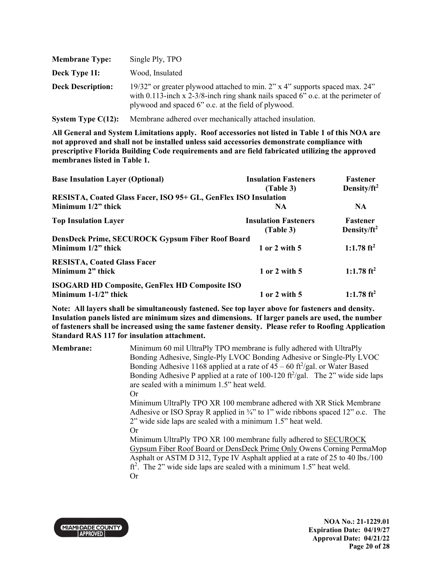| <b>Membrane Type:</b>    | Single Ply, TPO                                                                                                                                                                                                        |
|--------------------------|------------------------------------------------------------------------------------------------------------------------------------------------------------------------------------------------------------------------|
| Deck Type 11:            | Wood, Insulated                                                                                                                                                                                                        |
| <b>Deck Description:</b> | 19/32" or greater plywood attached to min. 2" x 4" supports spaced max. 24"<br>with 0.113-inch x 2-3/8-inch ring shank nails spaced 6" o.c. at the perimeter of<br>plywood and spaced 6" o.c. at the field of plywood. |

**System Type C(12):** Membrane adhered over mechanically attached insulation.

**All General and System Limitations apply. Roof accessories not listed in Table 1 of this NOA are not approved and shall not be installed unless said accessories demonstrate compliance with prescriptive Florida Building Code requirements and are field fabricated utilizing the approved membranes listed in Table 1.** 

| <b>Base Insulation Layer (Optional)</b>                         | <b>Insulation Fasteners</b><br>(Table 3) | <b>Fastener</b><br>Density/ $ft^2$ |
|-----------------------------------------------------------------|------------------------------------------|------------------------------------|
| RESISTA, Coated Glass Facer, ISO 95+ GL, GenFlex ISO Insulation |                                          |                                    |
| Minimum $1/2$ " thick                                           | NA.                                      | NA.                                |
| <b>Top Insulation Layer</b>                                     | <b>Insulation Fasteners</b><br>(Table 3) | <b>Fastener</b><br>Density/ $ft^2$ |
| DensDeck Prime, SECUROCK Gypsum Fiber Roof Board                |                                          |                                    |
| Minimum $1/2$ " thick                                           | 1 or 2 with 5                            | 1:1.78 $ft^2$                      |
| <b>RESISTA, Coated Glass Facer</b><br>Minimum 2" thick          | 1 or 2 with 5                            | 1:1.78 $ft^2$                      |
| <b>ISOGARD HD Composite, GenFlex HD Composite ISO</b>           |                                          |                                    |
| Minimum $1-1/2$ " thick                                         | 1 or 2 with 5                            | 1:1.78 $ft^2$                      |

| <b>Membrane:</b> | Minimum 60 mil UltraPly TPO membrane is fully adhered with UltraPly                                      |
|------------------|----------------------------------------------------------------------------------------------------------|
|                  | Bonding Adhesive, Single-Ply LVOC Bonding Adhesive or Single-Ply LVOC                                    |
|                  | Bonding Adhesive 1168 applied at a rate of $45 - 60$ ft <sup>2</sup> /gal. or Water Based                |
|                  | Bonding Adhesive P applied at a rate of 100-120 $\frac{\text{ft}^2}{\text{gal}}$ . The 2" wide side laps |
|                  | are sealed with a minimum 1.5" heat weld.                                                                |
|                  | Or                                                                                                       |
|                  | Minimum UltraPly TPO XR 100 membrane adhered with XR Stick Membrane                                      |
|                  | Adhesive or ISO Spray R applied in $\frac{3}{4}$ " to 1" wide ribbons spaced 12" o.c. The                |
|                  | 2" wide side laps are sealed with a minimum 1.5" heat weld.                                              |
|                  | Or                                                                                                       |
|                  | Minimum UltraPly TPO XR 100 membrane fully adhered to SECUROCK                                           |
|                  | Gypsum Fiber Roof Board or DensDeck Prime Only Owens Corning PermaMop                                    |
|                  | Asphalt or ASTM D 312, Type IV Asphalt applied at a rate of 25 to 40 lbs./100                            |
|                  | $ft2$ . The 2" wide side laps are sealed with a minimum 1.5" heat weld.                                  |
|                  | <b>Or</b>                                                                                                |

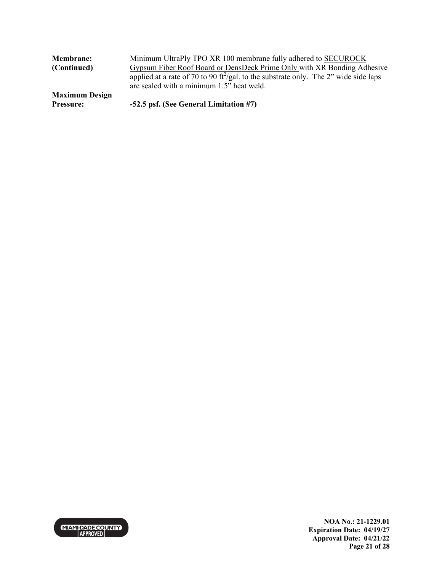| <b>Membrane:</b>      | Minimum UltraPly TPO XR 100 membrane fully adhered to SECUROCK                                              |
|-----------------------|-------------------------------------------------------------------------------------------------------------|
| (Continued)           | Gypsum Fiber Roof Board or DensDeck Prime Only with XR Bonding Adhesive                                     |
|                       | applied at a rate of 70 to 90 $\frac{\text{ft}^2}{\text{gal}}$ to the substrate only. The 2" wide side laps |
|                       | are sealed with a minimum 1.5" heat weld.                                                                   |
| <b>Maximum Design</b> |                                                                                                             |
| <b>Pressure:</b>      | -52.5 psf. (See General Limitation #7)                                                                      |



**NOA No.: 21-1229.01 Expiration Date: 04/19/27 Approval Date: 04/21/22 Page 21 of 28**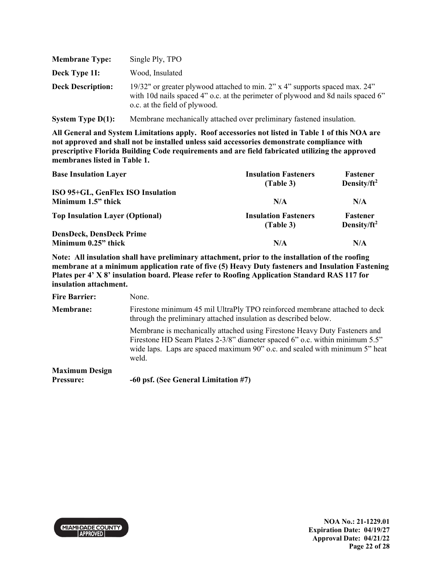| <b>Membrane Type:</b>    | Single Ply, TPO                                                                                                                                                                                  |
|--------------------------|--------------------------------------------------------------------------------------------------------------------------------------------------------------------------------------------------|
| Deck Type 11:            | Wood, Insulated                                                                                                                                                                                  |
| <b>Deck Description:</b> | 19/32" or greater plywood attached to min. 2" x 4" supports spaced max. 24"<br>with 10d nails spaced 4" o.c. at the perimeter of plywood and 8d nails spaced 6"<br>o.c. at the field of plywood. |

**System Type D(1):** Membrane mechanically attached over preliminary fastened insulation.

**All General and System Limitations apply. Roof accessories not listed in Table 1 of this NOA are not approved and shall not be installed unless said accessories demonstrate compliance with prescriptive Florida Building Code requirements and are field fabricated utilizing the approved membranes listed in Table 1.** 

| <b>Base Insulation Layer</b>                           | <b>Insulation Fasteners</b><br>(Table 3) | Fastener<br>Density/ $ft^2$ |
|--------------------------------------------------------|------------------------------------------|-----------------------------|
| ISO 95+GL, GenFlex ISO Insulation                      |                                          |                             |
| Minimum 1.5" thick                                     | N/A                                      | N/A                         |
| <b>Top Insulation Layer (Optional)</b>                 | <b>Insulation Fasteners</b><br>(Table 3) | Fastener<br>Density/ $ft^2$ |
| <b>DensDeck, DensDeck Prime</b><br>Minimum 0.25" thick | N/A                                      | N/A                         |

**Note: All insulation shall have preliminary attachment, prior to the installation of the roofing membrane at a minimum application rate of five (5) Heavy Duty fasteners and Insulation Fastening Plates per 4' X 8' insulation board. Please refer to Roofing Application Standard RAS 117 for insulation attachment.**

| <b>Fire Barrier:</b>               | None.                                                                                                                                                                                                                                             |
|------------------------------------|---------------------------------------------------------------------------------------------------------------------------------------------------------------------------------------------------------------------------------------------------|
| <b>Membrane:</b>                   | Firestone minimum 45 mil UltraPly TPO reinforced membrane attached to deck<br>through the preliminary attached insulation as described below.                                                                                                     |
|                                    | Membrane is mechanically attached using Firestone Heavy Duty Fasteners and<br>Firestone HD Seam Plates 2-3/8" diameter spaced 6" o.c. within minimum 5.5"<br>wide laps. Laps are spaced maximum 90" o.c. and sealed with minimum 5" heat<br>weld. |
| <b>Maximum Design</b><br>Pressure: | -60 psf. (See General Limitation #7)                                                                                                                                                                                                              |

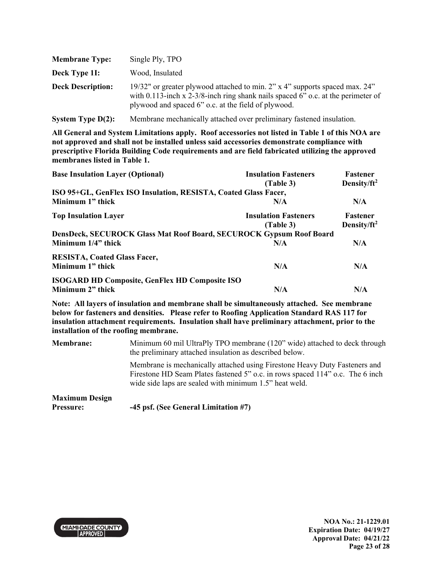| <b>Membrane Type:</b>    | Single Ply, TPO                                                                                                                                                                                                        |
|--------------------------|------------------------------------------------------------------------------------------------------------------------------------------------------------------------------------------------------------------------|
| Deck Type 11:            | Wood, Insulated                                                                                                                                                                                                        |
| <b>Deck Description:</b> | 19/32" or greater plywood attached to min. 2" x 4" supports spaced max. 24"<br>with 0.113-inch x 2-3/8-inch ring shank nails spaced 6" o.c. at the perimeter of<br>plywood and spaced 6" o.c. at the field of plywood. |

**System Type D(2):** Membrane mechanically attached over preliminary fastened insulation.

**All General and System Limitations apply. Roof accessories not listed in Table 1 of this NOA are not approved and shall not be installed unless said accessories demonstrate compliance with prescriptive Florida Building Code requirements and are field fabricated utilizing the approved membranes listed in Table 1.** 

| <b>Base Insulation Layer (Optional)</b>                                    | <b>Insulation Fasteners</b>              | <b>Fastener</b>                            |
|----------------------------------------------------------------------------|------------------------------------------|--------------------------------------------|
|                                                                            | (Table 3)                                | Density/ft <sup>2</sup>                    |
| ISO 95+GL, GenFlex ISO Insulation, RESISTA, Coated Glass Facer,            |                                          |                                            |
| Minimum 1" thick                                                           | N/A                                      | N/A                                        |
| <b>Top Insulation Layer</b>                                                | <b>Insulation Fasteners</b><br>(Table 3) | <b>Fastener</b><br>Density/ft <sup>2</sup> |
| <b>DensDeck, SECUROCK Glass Mat Roof Board, SECUROCK Gypsum Roof Board</b> |                                          |                                            |
| Minimum 1/4" thick                                                         | N/A                                      | N/A                                        |
| <b>RESISTA, Coated Glass Facer,</b>                                        |                                          |                                            |
| Minimum 1" thick                                                           | N/A                                      | N/A                                        |
| <b>ISOGARD HD Composite, GenFlex HD Composite ISO</b>                      |                                          |                                            |
| Minimum 2" thick                                                           | N/A                                      | N/A                                        |

**Note: All layers of insulation and membrane shall be simultaneously attached. See membrane below for fasteners and densities. Please refer to Roofing Application Standard RAS 117 for insulation attachment requirements. Insulation shall have preliminary attachment, prior to the installation of the roofing membrane.** 

**Membrane:** Minimum 60 mil UltraPly TPO membrane (120" wide) attached to deck through the preliminary attached insulation as described below.

> Membrane is mechanically attached using Firestone Heavy Duty Fasteners and Firestone HD Seam Plates fastened 5" o.c. in rows spaced 114" o.c. The 6 inch wide side laps are sealed with minimum 1.5" heat weld.

#### **Maximum Design Pressure: -45 psf. (See General Limitation #7)**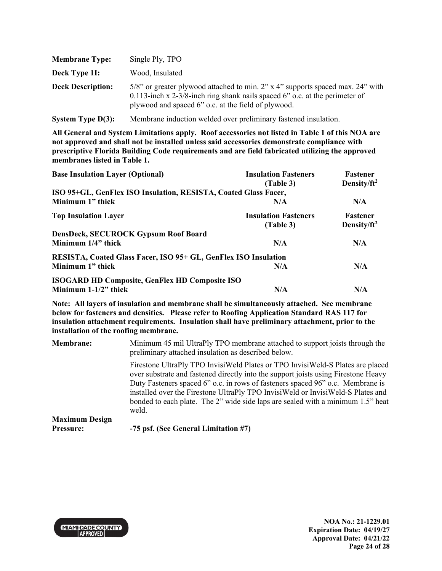| <b>Membrane Type:</b>    | Single Ply, TPO                                                                                                                                                                                                            |
|--------------------------|----------------------------------------------------------------------------------------------------------------------------------------------------------------------------------------------------------------------------|
| Deck Type 11:            | Wood, Insulated                                                                                                                                                                                                            |
| <b>Deck Description:</b> | $5/8$ " or greater plywood attached to min. 2" x 4" supports spaced max. 24" with<br>0.113-inch x 2-3/8-inch ring shank nails spaced $6$ " o.c. at the perimeter of<br>plywood and spaced 6" o.c. at the field of plywood. |

**System Type D(3):** Membrane induction welded over preliminary fastened insulation.

**All General and System Limitations apply. Roof accessories not listed in Table 1 of this NOA are not approved and shall not be installed unless said accessories demonstrate compliance with prescriptive Florida Building Code requirements and are field fabricated utilizing the approved membranes listed in Table 1.** 

| <b>Base Insulation Layer (Optional)</b>                         | <b>Insulation Fasteners</b> | <b>Fastener</b>         |
|-----------------------------------------------------------------|-----------------------------|-------------------------|
|                                                                 | (Table 3)                   | Density/ft <sup>2</sup> |
| ISO 95+GL, GenFlex ISO Insulation, RESISTA, Coated Glass Facer, |                             |                         |
| Minimum 1" thick                                                | N/A                         | N/A                     |
| <b>Top Insulation Layer</b>                                     | <b>Insulation Fasteners</b> | <b>Fastener</b>         |
|                                                                 | (Table 3)                   | Density/ft <sup>2</sup> |
| <b>DensDeck, SECUROCK Gypsum Roof Board</b>                     |                             |                         |
| Minimum 1/4" thick                                              | N/A                         | N/A                     |
| RESISTA, Coated Glass Facer, ISO 95+ GL, GenFlex ISO Insulation |                             |                         |
| Minimum 1" thick                                                | N/A                         | N/A                     |
| <b>ISOGARD HD Composite, GenFlex HD Composite ISO</b>           |                             |                         |
| Minimum $1-1/2$ " thick                                         | N/A                         | N/A                     |

**Note: All layers of insulation and membrane shall be simultaneously attached. See membrane below for fasteners and densities. Please refer to Roofing Application Standard RAS 117 for insulation attachment requirements. Insulation shall have preliminary attachment, prior to the installation of the roofing membrane.** 

| <b>Membrane:</b>      | Minimum 45 mil UltraPly TPO membrane attached to support joists through the<br>preliminary attached insulation as described below.                                                                                                                                                                                                                                                                                                    |
|-----------------------|---------------------------------------------------------------------------------------------------------------------------------------------------------------------------------------------------------------------------------------------------------------------------------------------------------------------------------------------------------------------------------------------------------------------------------------|
|                       | Firestone UltraPly TPO InvisiWeld Plates or TPO InvisiWeld-S Plates are placed<br>over substrate and fastened directly into the support joists using Firestone Heavy<br>Duty Fasteners spaced 6" o.c. in rows of fasteners spaced 96" o.c. Membrane is<br>installed over the Firestone UltraPly TPO InvisiWeld or InvisiWeld-S Plates and<br>bonded to each plate. The 2" wide side laps are sealed with a minimum 1.5" heat<br>weld. |
| <b>Maximum Design</b> |                                                                                                                                                                                                                                                                                                                                                                                                                                       |
| <b>Pressure:</b>      | -75 psf. (See General Limitation #7)                                                                                                                                                                                                                                                                                                                                                                                                  |

**MIAMI-DADE COUNTY APPROVED**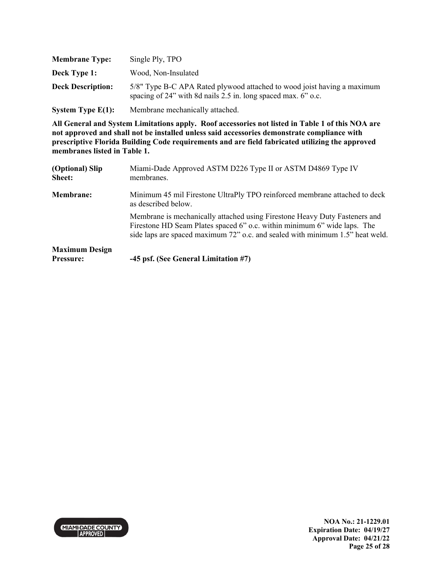| <b>Membrane Type:</b>    | Single Ply, TPO                                                                                                                          |
|--------------------------|------------------------------------------------------------------------------------------------------------------------------------------|
| Deck Type 1:             | Wood, Non-Insulated                                                                                                                      |
| <b>Deck Description:</b> | 5/8" Type B-C APA Rated plywood attached to wood joist having a maximum<br>spacing of 24" with 8d nails 2.5 in. long spaced max. 6" o.c. |
| System Type $E(1)$ :     | Membrane mechanically attached.                                                                                                          |

| (Optional) Slip<br><b>Sheet:</b> | Miami-Dade Approved ASTM D226 Type II or ASTM D4869 Type IV<br>membranes.                                                                                                                                                               |
|----------------------------------|-----------------------------------------------------------------------------------------------------------------------------------------------------------------------------------------------------------------------------------------|
| <b>Membrane:</b>                 | Minimum 45 mil Firestone UltraPly TPO reinforced membrane attached to deck<br>as described below.                                                                                                                                       |
|                                  | Membrane is mechanically attached using Firestone Heavy Duty Fasteners and<br>Firestone HD Seam Plates spaced 6" o.c. within minimum 6" wide laps. The<br>side laps are spaced maximum 72" o.c. and sealed with minimum 1.5" heat weld. |
| <b>Maximum Design</b>            |                                                                                                                                                                                                                                         |
| <b>Pressure:</b>                 | -45 psf. (See General Limitation #7)                                                                                                                                                                                                    |

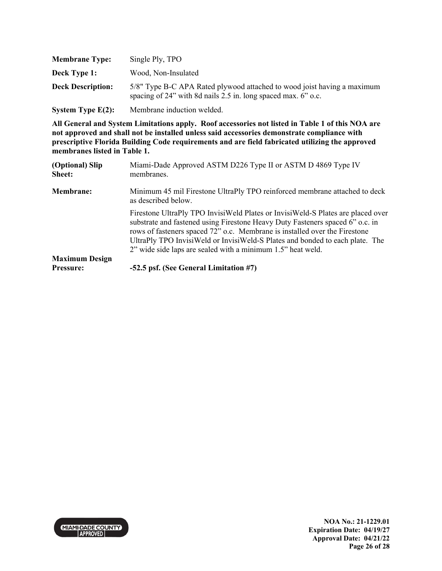| <b>Membrane Type:</b>    | Single Ply, TPO                                                                                                                          |
|--------------------------|------------------------------------------------------------------------------------------------------------------------------------------|
| Deck Type 1:             | Wood, Non-Insulated                                                                                                                      |
| <b>Deck Description:</b> | 5/8" Type B-C APA Rated plywood attached to wood joist having a maximum<br>spacing of 24" with 8d nails 2.5 in. long spaced max. 6" o.c. |
| System Type $E(2)$ :     | Membrane induction welded.                                                                                                               |

| (Optional) Slip<br><b>Sheet:</b> | Miami-Dade Approved ASTM D226 Type II or ASTM D 4869 Type IV<br>membranes.                                                                                                                                                                                                                                                                                                                    |
|----------------------------------|-----------------------------------------------------------------------------------------------------------------------------------------------------------------------------------------------------------------------------------------------------------------------------------------------------------------------------------------------------------------------------------------------|
| <b>Membrane:</b>                 | Minimum 45 mil Firestone UltraPly TPO reinforced membrane attached to deck<br>as described below.                                                                                                                                                                                                                                                                                             |
|                                  | Firestone UltraPly TPO InvisiWeld Plates or InvisiWeld-S Plates are placed over<br>substrate and fastened using Firestone Heavy Duty Fasteners spaced 6" o.c. in<br>rows of fasteners spaced 72" o.c. Membrane is installed over the Firestone<br>UltraPly TPO InvisiWeld or InvisiWeld-S Plates and bonded to each plate. The<br>2" wide side laps are sealed with a minimum 1.5" heat weld. |
| <b>Maximum Design</b>            |                                                                                                                                                                                                                                                                                                                                                                                               |
| Pressure:                        | -52.5 psf. (See General Limitation #7)                                                                                                                                                                                                                                                                                                                                                        |

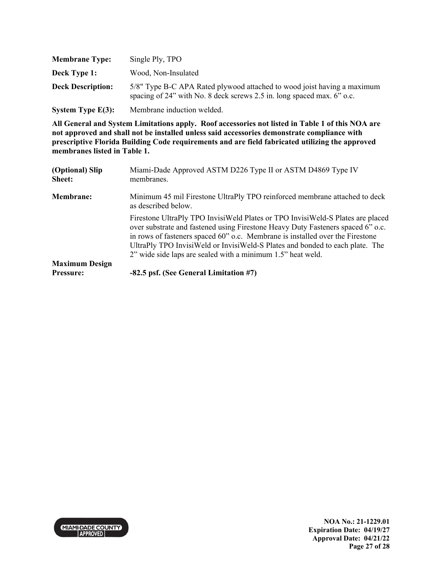| <b>Membrane Type:</b>    | Single Ply, TPO                                                                                                                                   |
|--------------------------|---------------------------------------------------------------------------------------------------------------------------------------------------|
| Deck Type 1:             | Wood, Non-Insulated                                                                                                                               |
| <b>Deck Description:</b> | 5/8" Type B-C APA Rated plywood attached to wood joist having a maximum<br>spacing of 24" with No. 8 deck screws 2.5 in. long spaced max. 6" o.c. |
| System Type $E(3)$ :     | Membrane induction welded.                                                                                                                        |

| (Optional) Slip<br><b>Sheet:</b> | Miami-Dade Approved ASTM D226 Type II or ASTM D4869 Type IV<br>membranes.                                                                                                                                                                                                                                                                                                                         |
|----------------------------------|---------------------------------------------------------------------------------------------------------------------------------------------------------------------------------------------------------------------------------------------------------------------------------------------------------------------------------------------------------------------------------------------------|
| <b>Membrane:</b>                 | Minimum 45 mil Firestone UltraPly TPO reinforced membrane attached to deck<br>as described below.                                                                                                                                                                                                                                                                                                 |
|                                  | Firestone UltraPly TPO InvisiWeld Plates or TPO InvisiWeld-S Plates are placed<br>over substrate and fastened using Firestone Heavy Duty Fasteners spaced 6" o.c.<br>in rows of fasteners spaced 60" o.c. Membrane is installed over the Firestone<br>UltraPly TPO InvisiWeld or InvisiWeld-S Plates and bonded to each plate. The<br>2" wide side laps are sealed with a minimum 1.5" heat weld. |
| <b>Maximum Design</b>            |                                                                                                                                                                                                                                                                                                                                                                                                   |
| <b>Pressure:</b>                 | -82.5 psf. (See General Limitation #7)                                                                                                                                                                                                                                                                                                                                                            |